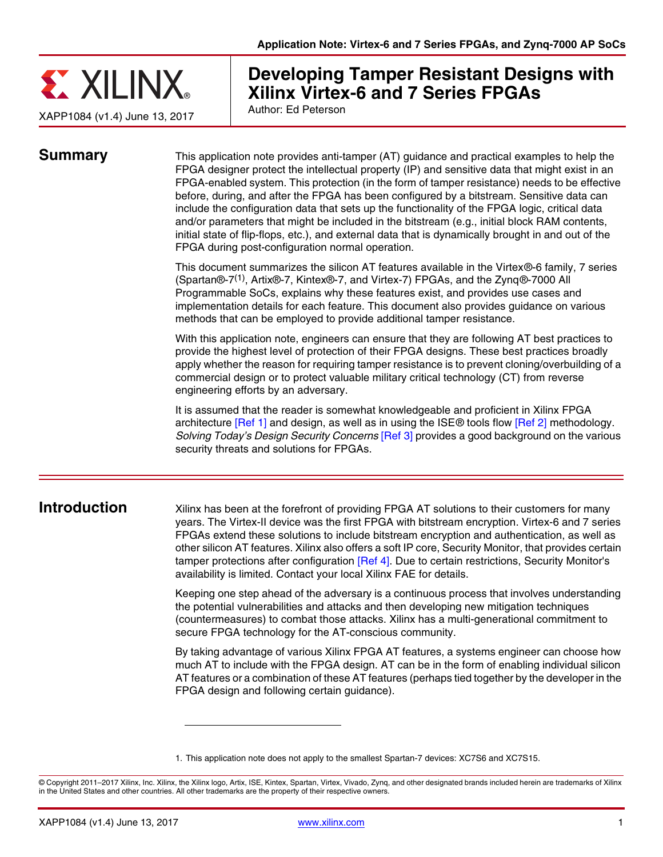

# **Developing Tamper Resistant Designs with Xilinx Virtex-6 and 7 Series FPGAs**

Author: Ed Peterson

<span id="page-0-1"></span>**Summary** This application note provides anti-tamper (AT) guidance and practical examples to help the FPGA designer protect the intellectual property (IP) and sensitive data that might exist in an FPGA-enabled system. This protection (in the form of tamper resistance) needs to be effective before, during, and after the FPGA has been configured by a bitstream. Sensitive data can include the configuration data that sets up the functionality of the FPGA logic, critical data and/or parameters that might be included in the bitstream (e.g., initial block RAM contents, initial state of flip-flops, etc.), and external data that is dynamically brought in and out of the FPGA during post-configuration normal operation.

> This document summarizes the silicon AT features available in the Virtex®-6 family, 7 series (Spartan®-7(1), Artix®-7, Kintex®-7, and Virtex-7) FPGAs, and the Zynq®-7000 All Programmable SoCs, explains why these features exist, and provides use cases and implementation details for each feature. This document also provides guidance on various methods that can be employed to provide additional tamper resistance.

> With this application note, engineers can ensure that they are following AT best practices to provide the highest level of protection of their FPGA designs. These best practices broadly apply whether the reason for requiring tamper resistance is to prevent cloning/overbuilding of a commercial design or to protect valuable military critical technology (CT) from reverse engineering efforts by an adversary.

> It is assumed that the reader is somewhat knowledgeable and proficient in Xilinx FPGA architecture [\[Ref 1\]](#page-17-0) and design, as well as in using the ISE® tools flow [\[Ref 2\]](#page-17-1) methodology. *Solving Today's Design Security Concerns* [\[Ref 3\]](#page-17-2) provides a good background on the various security threats and solutions for FPGAs.

<span id="page-0-0"></span>**Introduction** Xilinx has been at the forefront of providing FPGA AT solutions to their customers for many years. The Virtex-II device was the first FPGA with bitstream encryption. Virtex-6 and 7 series FPGAs extend these solutions to include bitstream encryption and authentication, as well as other silicon AT features. Xilinx also offers a soft IP core, Security Monitor, that provides certain tamper protections after configuration [\[Ref 4\].](#page-17-3) Due to certain restrictions, Security Monitor's availability is limited. Contact your local Xilinx FAE for details.

> Keeping one step ahead of the adversary is a continuous process that involves understanding the potential vulnerabilities and attacks and then developing new mitigation techniques (countermeasures) to combat those attacks. Xilinx has a multi-generational commitment to secure FPGA technology for the AT-conscious community.

> By taking advantage of various Xilinx FPGA AT features, a systems engineer can choose how much AT to include with the FPGA design. AT can be in the form of enabling individual silicon AT features or a combination of these AT features (perhaps tied together by the developer in the FPGA design and following certain guidance).

© Copyright 2011–2017 Xilinx, Inc. Xilinx, the Xilinx logo, Artix, ISE, Kintex, Spartan, Virtex, Vivado, Zynq, and other designated brands included herein are trademarks of Xilinx in the United States and other countries. All other trademarks are the property of their respective owners.

<sup>1.</sup> This application note does not apply to the smallest Spartan-7 devices: XC7S6 and XC7S15.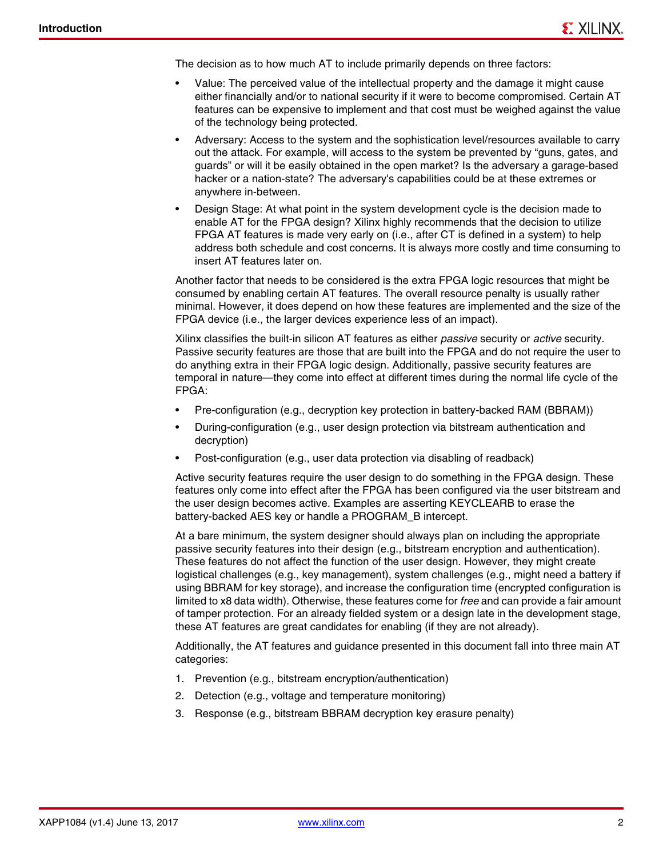The decision as to how much AT to include primarily depends on three factors:

- Value: The perceived value of the intellectual property and the damage it might cause either financially and/or to national security if it were to become compromised. Certain AT features can be expensive to implement and that cost must be weighed against the value of the technology being protected.
- Adversary: Access to the system and the sophistication level/resources available to carry out the attack. For example, will access to the system be prevented by "guns, gates, and guards" or will it be easily obtained in the open market? Is the adversary a garage-based hacker or a nation-state? The adversary's capabilities could be at these extremes or anywhere in-between.
- Design Stage: At what point in the system development cycle is the decision made to enable AT for the FPGA design? Xilinx highly recommends that the decision to utilize FPGA AT features is made very early on (i.e., after CT is defined in a system) to help address both schedule and cost concerns. It is always more costly and time consuming to insert AT features later on.

Another factor that needs to be considered is the extra FPGA logic resources that might be consumed by enabling certain AT features. The overall resource penalty is usually rather minimal. However, it does depend on how these features are implemented and the size of the FPGA device (i.e., the larger devices experience less of an impact).

Xilinx classifies the built-in silicon AT features as either *passive* security or *active* security. Passive security features are those that are built into the FPGA and do not require the user to do anything extra in their FPGA logic design. Additionally, passive security features are temporal in nature—they come into effect at different times during the normal life cycle of the FPGA:

- Pre-configuration (e.g., decryption key protection in battery-backed RAM (BBRAM))
- During-configuration (e.g., user design protection via bitstream authentication and decryption)
- Post-configuration (e.g., user data protection via disabling of readback)

Active security features require the user design to do something in the FPGA design. These features only come into effect after the FPGA has been configured via the user bitstream and the user design becomes active. Examples are asserting KEYCLEARB to erase the battery-backed AES key or handle a PROGRAM\_B intercept.

At a bare minimum, the system designer should always plan on including the appropriate passive security features into their design (e.g., bitstream encryption and authentication). These features do not affect the function of the user design. However, they might create logistical challenges (e.g., key management), system challenges (e.g., might need a battery if using BBRAM for key storage), and increase the configuration time (encrypted configuration is limited to x8 data width). Otherwise, these features come for *free* and can provide a fair amount of tamper protection. For an already fielded system or a design late in the development stage, these AT features are great candidates for enabling (if they are not already).

Additionally, the AT features and guidance presented in this document fall into three main AT categories:

- 1. Prevention (e.g., bitstream encryption/authentication)
- 2. Detection (e.g., voltage and temperature monitoring)
- 3. Response (e.g., bitstream BBRAM decryption key erasure penalty)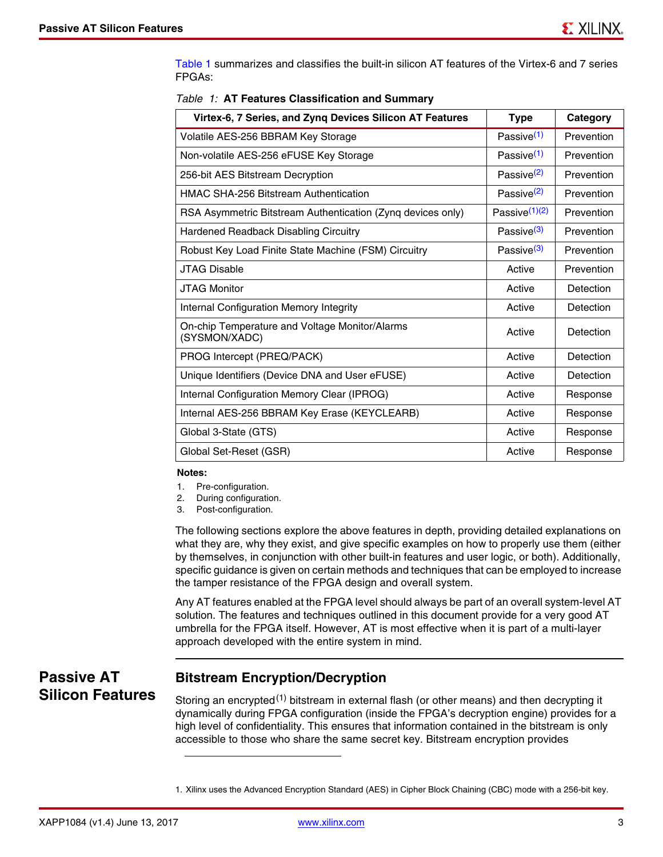[Table 1](#page-2-0) summarizes and classifies the built-in silicon AT features of the Virtex-6 and 7 series FPGAs:

| Virtex-6, 7 Series, and Zynq Devices Silicon AT Features        | <b>Type</b>            | Category   |
|-----------------------------------------------------------------|------------------------|------------|
| Volatile AES-256 BBRAM Key Storage                              | Passive <sup>(1)</sup> | Prevention |
| Non-volatile AES-256 eFUSE Key Storage                          | Passive $(1)$          | Prevention |
| 256-bit AES Bitstream Decryption                                | Passive <sup>(2)</sup> | Prevention |
| <b>HMAC SHA-256 Bitstream Authentication</b>                    | Passive <sup>(2)</sup> | Prevention |
| RSA Asymmetric Bitstream Authentication (Zynq devices only)     | Passive $(1)(2)$       | Prevention |
| Hardened Readback Disabling Circuitry                           | Passive <sup>(3)</sup> | Prevention |
| Robust Key Load Finite State Machine (FSM) Circuitry            | Passive <sup>(3)</sup> | Prevention |
| <b>JTAG Disable</b>                                             | Active                 | Prevention |
| <b>JTAG Monitor</b>                                             | Active                 | Detection  |
| <b>Internal Configuration Memory Integrity</b>                  | Active                 | Detection  |
| On-chip Temperature and Voltage Monitor/Alarms<br>(SYSMON/XADC) | Active                 | Detection  |
| PROG Intercept (PREQ/PACK)                                      | Active                 | Detection  |
| Unique Identifiers (Device DNA and User eFUSE)                  | Active                 | Detection  |
| Internal Configuration Memory Clear (IPROG)                     | Active                 | Response   |
| Internal AES-256 BBRAM Key Erase (KEYCLEARB)                    | Active                 | Response   |
| Global 3-State (GTS)                                            | Active                 | Response   |
| Global Set-Reset (GSR)                                          | Active                 | Response   |

<span id="page-2-0"></span>

|  |  | Table 1: AT Features Classification and Summary |  |
|--|--|-------------------------------------------------|--|
|  |  |                                                 |  |

#### **Notes:**

- <span id="page-2-1"></span>1. Pre-configuration.
- <span id="page-2-2"></span>2. During configuration.
- <span id="page-2-3"></span>3. Post-configuration.

The following sections explore the above features in depth, providing detailed explanations on what they are, why they exist, and give specific examples on how to properly use them (either by themselves, in conjunction with other built-in features and user logic, or both). Additionally, specific guidance is given on certain methods and techniques that can be employed to increase the tamper resistance of the FPGA design and overall system.

Any AT features enabled at the FPGA level should always be part of an overall system-level AT solution. The features and techniques outlined in this document provide for a very good AT umbrella for the FPGA itself. However, AT is most effective when it is part of a multi-layer approach developed with the entire system in mind.

**Passive AT Silicon Features**

## <span id="page-2-4"></span>**Bitstream Encryption/Decryption**

Storing an encrypted<sup>(1)</sup> bitstream in external flash (or other means) and then decrypting it dynamically during FPGA configuration (inside the FPGA's decryption engine) provides for a high level of confidentiality. This ensures that information contained in the bitstream is only accessible to those who share the same secret key. Bitstream encryption provides

<sup>1.</sup> Xilinx uses the Advanced Encryption Standard (AES) in Cipher Block Chaining (CBC) mode with a 256-bit key.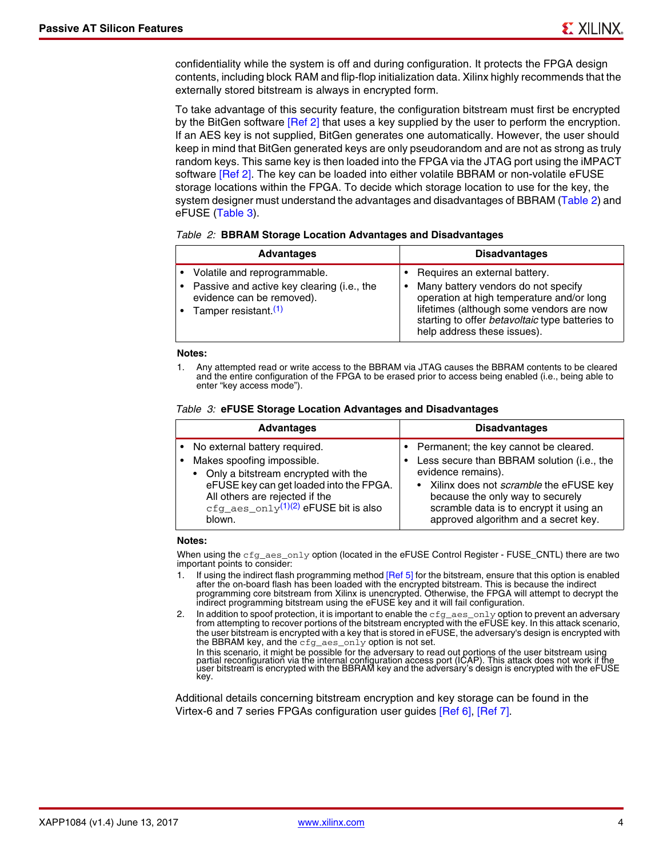confidentiality while the system is off and during configuration. It protects the FPGA design contents, including block RAM and flip-flop initialization data. Xilinx highly recommends that the externally stored bitstream is always in encrypted form.

To take advantage of this security feature, the configuration bitstream must first be encrypted by the BitGen software [\[Ref 2\]](#page-17-1) that uses a key supplied by the user to perform the encryption. If an AES key is not supplied, BitGen generates one automatically. However, the user should keep in mind that BitGen generated keys are only pseudorandom and are not as strong as truly random keys. This same key is then loaded into the FPGA via the JTAG port using the iMPACT software [\[Ref 2\].](#page-17-1) The key can be loaded into either volatile BBRAM or non-volatile eFUSE storage locations within the FPGA. To decide which storage location to use for the key, the system designer must understand the advantages and disadvantages of BBRAM [\(Table 2\)](#page-3-0) and eFUSE [\(Table 3\)](#page-3-1).

<span id="page-3-0"></span>

|  | Table 2: BBRAM Storage Location Advantages and Disadvantages |  |  |
|--|--------------------------------------------------------------|--|--|
|  |                                                              |  |  |

| <b>Advantages</b>                                                                                                                           | <b>Disadvantages</b>                                                                                                                                                                                                                                 |
|---------------------------------------------------------------------------------------------------------------------------------------------|------------------------------------------------------------------------------------------------------------------------------------------------------------------------------------------------------------------------------------------------------|
| Volatile and reprogrammable.<br>Passive and active key clearing (i.e., the<br>evidence can be removed).<br>Tamper resistant. <sup>(1)</sup> | Requires an external battery.<br>Many battery vendors do not specify<br>٠<br>operation at high temperature and/or long<br>lifetimes (although some vendors are now<br>starting to offer betavoltaic type batteries to<br>help address these issues). |

#### **Notes:**

<span id="page-3-2"></span>1. Any attempted read or write access to the BBRAM via JTAG causes the BBRAM contents to be cleared and the entire configuration of the FPGA to be erased prior to access being enabled (i.e., being able to enter "key access mode").

<span id="page-3-1"></span>

|  |  |  | Table 3: eFUSE Storage Location Advantages and Disadvantages |  |
|--|--|--|--------------------------------------------------------------|--|
|  |  |  |                                                              |  |

| <b>Advantages</b>                           | <b>Disadvantages</b>                            |
|---------------------------------------------|-------------------------------------------------|
| • No external battery required.             | Permanent; the key cannot be cleared.           |
| • Makes spoofing impossible.                | Less secure than BBRAM solution (i.e., the      |
| • Only a bitstream encrypted with the       | evidence remains).                              |
| eFUSE key can get loaded into the FPGA.     | • Xilinx does not <i>scramble</i> the eFUSE key |
| All others are rejected if the              | because the only way to securely                |
| $cfg\_aes\_only^{(1)(2)}$ eFUSE bit is also | scramble data is to encrypt it using an         |
| blown.                                      | approved algorithm and a secret key.            |

#### **Notes:**

When using the cfg\_aes\_only option (located in the eFUSE Control Register - FUSE\_CNTL) there are two important points to consider:

- <span id="page-3-3"></span>1. If using the indirect flash programming method [\[Ref 5\]](#page-17-6) for the bitstream, ensure that this option is enabled after the on-board flash has been loaded with the encrypted bitstream. This is because the indirect programming core bitstream from Xilinx is unencrypted. Otherwise, the FPGA will attempt to decrypt the indirect programming bitstream using the eFUSE key and it will fail configuration.
- <span id="page-3-4"></span>2. In addition to spoof protection, it is important to enable the  $cfg\_aes\_only$  option to prevent an adversary from attempting to recover portions of the bitstream encrypted with the eFUSE key. In this attack scenario, the user bitstream is encrypted with a key that is stored in eFUSE, the adversary's design is encrypted with the BBRAM key, and the cfg\_aes\_only option is not set.

Additional details concerning bitstream encryption and key storage can be found in the Virtex-6 and 7 series FPGAs configuration user guides [\[Ref 6\]](#page-17-4), [\[Ref 7\]](#page-17-5).

In this scenario, it might be possible for the adversary to read out portions of the user bitstream using<br>partial reconfiguration via the internal configuration access port (ICAP). This attack does not work if the<br>user bit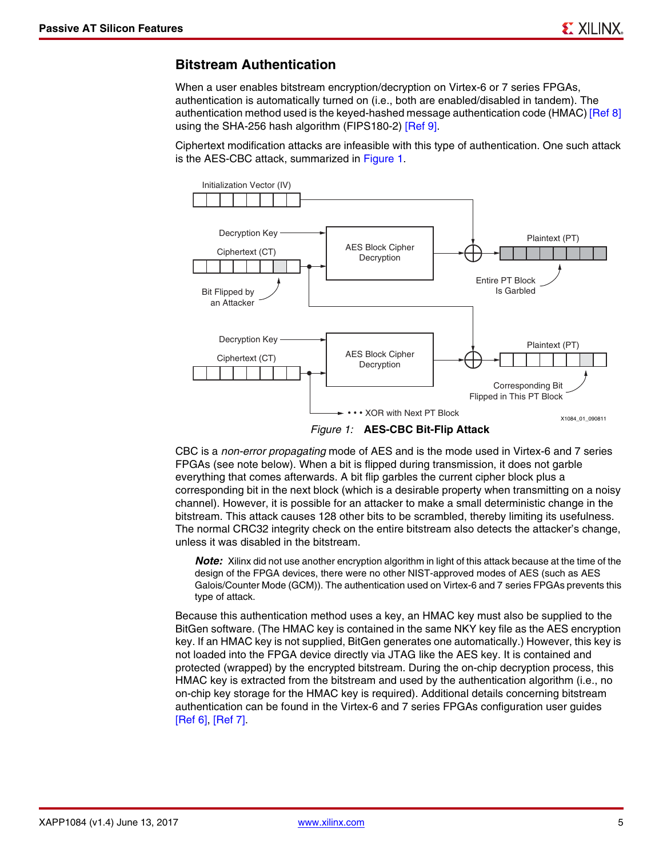#### <span id="page-4-1"></span>**Bitstream Authentication**

When a user enables bitstream encryption/decryption on Virtex-6 or 7 series FPGAs, authentication is automatically turned on (i.e., both are enabled/disabled in tandem). The authentication method used is the keyed-hashed message authentication code (HMAC) [\[Ref 8\]](#page-17-7) using the SHA-256 hash algorithm (FIPS180-2) [\[Ref 9\].](#page-17-8)

Ciphertext modification attacks are infeasible with this type of authentication. One such attack is the AES-CBC attack, summarized in [Figure 1](#page-4-0).

<span id="page-4-0"></span>

CBC is a *non-error propagating* mode of AES and is the mode used in Virtex-6 and 7 series FPGAs (see note below). When a bit is flipped during transmission, it does not garble everything that comes afterwards. A bit flip garbles the current cipher block plus a corresponding bit in the next block (which is a desirable property when transmitting on a noisy channel). However, it is possible for an attacker to make a small deterministic change in the bitstream. This attack causes 128 other bits to be scrambled, thereby limiting its usefulness. The normal CRC32 integrity check on the entire bitstream also detects the attacker's change, unless it was disabled in the bitstream.

**Note:** Xilinx did not use another encryption algorithm in light of this attack because at the time of the design of the FPGA devices, there were no other NIST-approved modes of AES (such as AES Galois/Counter Mode (GCM)). The authentication used on Virtex-6 and 7 series FPGAs prevents this type of attack.

Because this authentication method uses a key, an HMAC key must also be supplied to the BitGen software. (The HMAC key is contained in the same NKY key file as the AES encryption key. If an HMAC key is not supplied, BitGen generates one automatically.) However, this key is not loaded into the FPGA device directly via JTAG like the AES key. It is contained and protected (wrapped) by the encrypted bitstream. During the on-chip decryption process, this HMAC key is extracted from the bitstream and used by the authentication algorithm (i.e., no on-chip key storage for the HMAC key is required). Additional details concerning bitstream authentication can be found in the Virtex-6 and 7 series FPGAs configuration user guides [\[Ref 6\]](#page-17-4), [\[Ref 7\]](#page-17-5).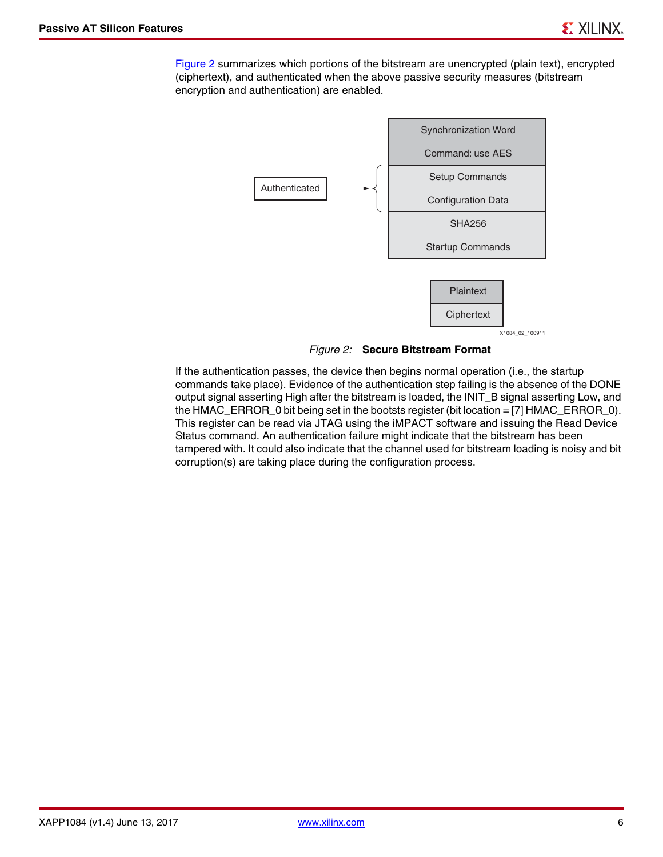<span id="page-5-0"></span>[Figure 2](#page-5-0) summarizes which portions of the bitstream are unencrypted (plain text), encrypted (ciphertext), and authenticated when the above passive security measures (bitstream encryption and authentication) are enabled.



*Figure 2:* **Secure Bitstream Format**

If the authentication passes, the device then begins normal operation (i.e., the startup commands take place). Evidence of the authentication step failing is the absence of the DONE output signal asserting High after the bitstream is loaded, the INIT\_B signal asserting Low, and the HMAC\_ERROR\_0 bit being set in the bootsts register (bit location = [7] HMAC\_ERROR\_0). This register can be read via JTAG using the iMPACT software and issuing the Read Device Status command. An authentication failure might indicate that the bitstream has been tampered with. It could also indicate that the channel used for bitstream loading is noisy and bit corruption(s) are taking place during the configuration process.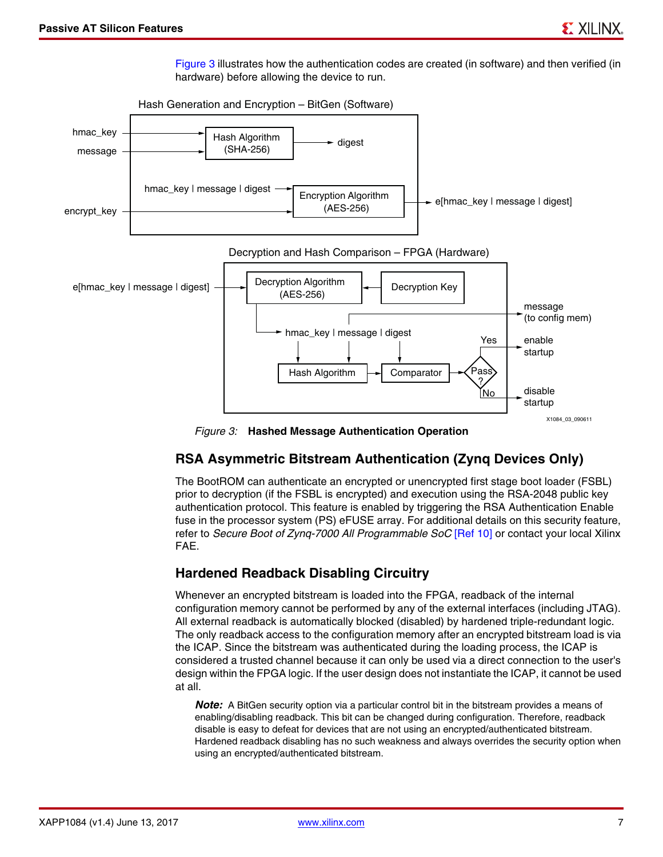[Figure 3](#page-6-0) illustrates how the authentication codes are created (in software) and then verified (in hardware) before allowing the device to run.

<span id="page-6-0"></span>

*Figure 3:* **Hashed Message Authentication Operation**

#### <span id="page-6-2"></span>**RSA Asymmetric Bitstream Authentication (Zynq Devices Only)**

The BootROM can authenticate an encrypted or unencrypted first stage boot loader (FSBL) prior to decryption (if the FSBL is encrypted) and execution using the RSA-2048 public key authentication protocol. This feature is enabled by triggering the RSA Authentication Enable fuse in the processor system (PS) eFUSE array. For additional details on this security feature, refer to *Secure Boot of Zynq-7000 All Programmable SoC* [\[Ref 10\]](#page-17-9) or contact your local Xilinx FAE.

#### <span id="page-6-1"></span>**Hardened Readback Disabling Circuitry**

Whenever an encrypted bitstream is loaded into the FPGA, readback of the internal configuration memory cannot be performed by any of the external interfaces (including JTAG). All external readback is automatically blocked (disabled) by hardened triple-redundant logic. The only readback access to the configuration memory after an encrypted bitstream load is via the ICAP. Since the bitstream was authenticated during the loading process, the ICAP is considered a trusted channel because it can only be used via a direct connection to the user's design within the FPGA logic. If the user design does not instantiate the ICAP, it cannot be used at all.

**Note:** A BitGen security option via a particular control bit in the bitstream provides a means of enabling/disabling readback. This bit can be changed during configuration. Therefore, readback disable is easy to defeat for devices that are not using an encrypted/authenticated bitstream. Hardened readback disabling has no such weakness and always overrides the security option when using an encrypted/authenticated bitstream.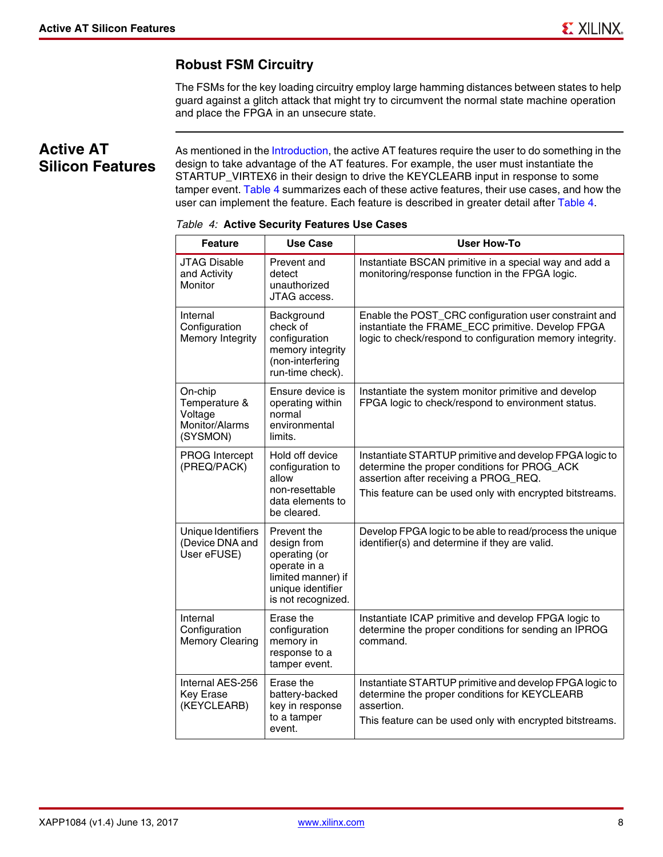## **Robust FSM Circuitry**

The FSMs for the key loading circuitry employ large hamming distances between states to help guard against a glitch attack that might try to circumvent the normal state machine operation and place the FPGA in an unsecure state.

# **Active AT Silicon Features**

As mentioned in the [Introduction](#page-0-0), the active AT features require the user to do something in the design to take advantage of the AT features. For example, the user must instantiate the STARTUP\_VIRTEX6 in their design to drive the KEYCLEARB input in response to some tamper event. [Table 4](#page-7-0) summarizes each of these active features, their use cases, and how the user can implement the feature. Each feature is described in greater detail after [Table 4.](#page-7-0)

| <b>Feature</b>                                                    | <b>Use Case</b>                                                                                                              | User How-To                                                                                                                                                                                                  |
|-------------------------------------------------------------------|------------------------------------------------------------------------------------------------------------------------------|--------------------------------------------------------------------------------------------------------------------------------------------------------------------------------------------------------------|
| <b>JTAG Disable</b><br>and Activity<br>Monitor                    | Prevent and<br>detect<br>unauthorized<br>JTAG access.                                                                        | Instantiate BSCAN primitive in a special way and add a<br>monitoring/response function in the FPGA logic.                                                                                                    |
| Internal<br>Configuration<br>Memory Integrity                     | Background<br>check of<br>configuration<br>memory integrity<br>(non-interfering<br>run-time check).                          | Enable the POST_CRC configuration user constraint and<br>instantiate the FRAME_ECC primitive. Develop FPGA<br>logic to check/respond to configuration memory integrity.                                      |
| On-chip<br>Temperature &<br>Voltage<br>Monitor/Alarms<br>(SYSMON) | Ensure device is<br>operating within<br>normal<br>environmental<br>limits.                                                   | Instantiate the system monitor primitive and develop<br>FPGA logic to check/respond to environment status.                                                                                                   |
| PROG Intercept<br>(PREQ/PACK)                                     | Hold off device<br>configuration to<br>allow<br>non-resettable<br>data elements to<br>be cleared.                            | Instantiate STARTUP primitive and develop FPGA logic to<br>determine the proper conditions for PROG_ACK<br>assertion after receiving a PROG_REQ.<br>This feature can be used only with encrypted bitstreams. |
| Unique Identifiers<br>(Device DNA and<br>User eFUSE)              | Prevent the<br>design from<br>operating (or<br>operate in a<br>limited manner) if<br>unique identifier<br>is not recognized. | Develop FPGA logic to be able to read/process the unique<br>identifier(s) and determine if they are valid.                                                                                                   |
| Internal<br>Configuration<br><b>Memory Clearing</b>               | Erase the<br>configuration<br>memory in<br>response to a<br>tamper event.                                                    | Instantiate ICAP primitive and develop FPGA logic to<br>determine the proper conditions for sending an IPROG<br>command.                                                                                     |
| Internal AES-256<br><b>Key Erase</b><br>(KEYCLEARB)               | Erase the<br>battery-backed<br>key in response<br>to a tamper<br>event.                                                      | Instantiate STARTUP primitive and develop FPGA logic to<br>determine the proper conditions for KEYCLEARB<br>assertion.<br>This feature can be used only with encrypted bitstreams.                           |

#### <span id="page-7-0"></span>*Table 4:* **Active Security Features Use Cases**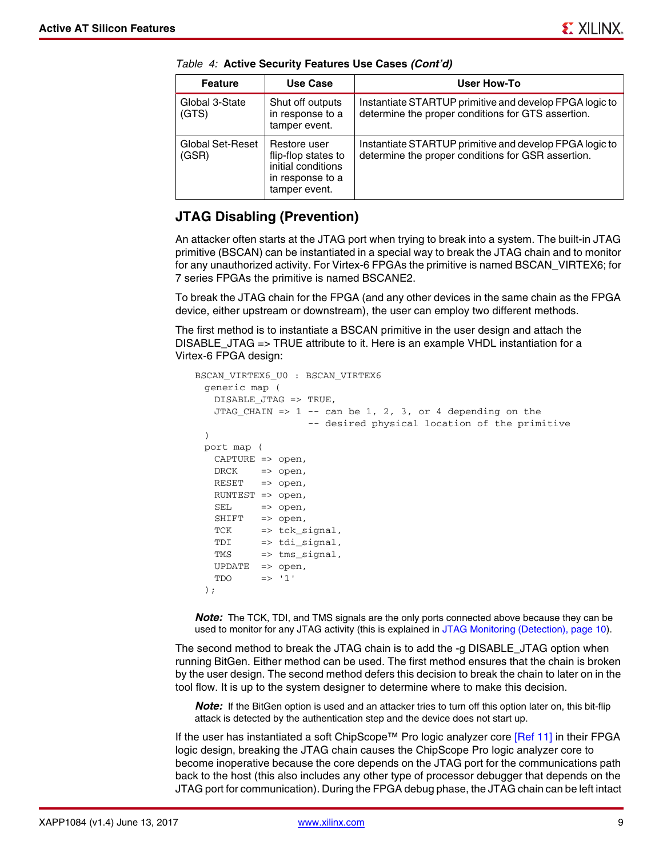| <b>Feature</b>            | Use Case                                                                                       | User How-To                                                                                                   |
|---------------------------|------------------------------------------------------------------------------------------------|---------------------------------------------------------------------------------------------------------------|
| Global 3-State<br>(GTS)   | Shut off outputs<br>in response to a<br>tamper event.                                          | Instantiate STARTUP primitive and develop FPGA logic to<br>determine the proper conditions for GTS assertion. |
| Global Set-Reset<br>(GSR) | Restore user<br>flip-flop states to<br>initial conditions<br>in response to a<br>tamper event. | Instantiate STARTUP primitive and develop FPGA logic to<br>determine the proper conditions for GSR assertion. |

*Table 4:* **Active Security Features Use Cases** *(Cont'd)*

#### <span id="page-8-0"></span>**JTAG Disabling (Prevention)**

An attacker often starts at the JTAG port when trying to break into a system. The built-in JTAG primitive (BSCAN) can be instantiated in a special way to break the JTAG chain and to monitor for any unauthorized activity. For Virtex-6 FPGAs the primitive is named BSCAN\_VIRTEX6; for 7 series FPGAs the primitive is named BSCANE2.

To break the JTAG chain for the FPGA (and any other devices in the same chain as the FPGA device, either upstream or downstream), the user can employ two different methods.

The first method is to instantiate a BSCAN primitive in the user design and attach the DISABLE\_JTAG => TRUE attribute to it. Here is an example VHDL instantiation for a Virtex-6 FPGA design:

```
BSCAN_VIRTEX6_U0 : BSCAN_VIRTEX6
 generic map ( 
   DISABLE_JTAG => TRUE,
   JTAG_CHAIN => 1 -- can be 1, 2, 3, or 4 depending on the
                   -- desired physical location of the primitive
 )
 port map (
  CAPTURE => open,
   DRCK => open.RESET => open,
  RUNTEST => open,
   SEL => open,
   SHIFT => open,
   TCK => tck_signal,
   TDI => tdi_signal,
   TMS => tms_signal,
   UPDATE => open,
   TDO \t= > '1');
```
**Note:** The TCK, TDI, and TMS signals are the only ports connected above because they can be used to monitor for any JTAG activity (this is explained in [JTAG Monitoring \(Detection\), page 10](#page-9-0)).

The second method to break the JTAG chain is to add the -g DISABLE\_JTAG option when running BitGen. Either method can be used. The first method ensures that the chain is broken by the user design. The second method defers this decision to break the chain to later on in the tool flow. It is up to the system designer to determine where to make this decision.

*Note:* If the BitGen option is used and an attacker tries to turn off this option later on, this bit-flip attack is detected by the authentication step and the device does not start up.

If the user has instantiated a soft ChipScope™ Pro logic analyzer core [\[Ref 11\]](#page-17-10) in their FPGA logic design, breaking the JTAG chain causes the ChipScope Pro logic analyzer core to become inoperative because the core depends on the JTAG port for the communications path back to the host (this also includes any other type of processor debugger that depends on the JTAG port for communication). During the FPGA debug phase, the JTAG chain can be left intact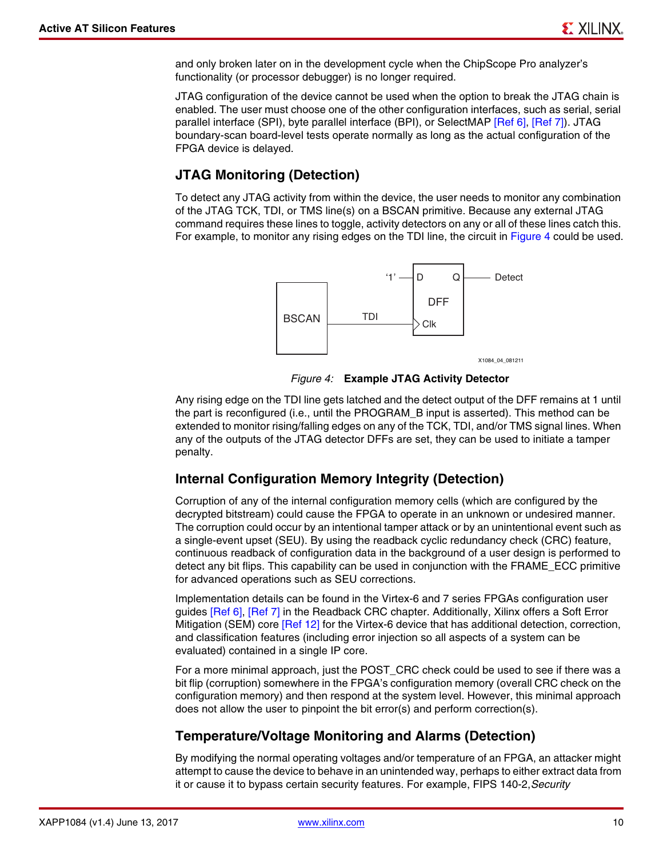and only broken later on in the development cycle when the ChipScope Pro analyzer's functionality (or processor debugger) is no longer required.

JTAG configuration of the device cannot be used when the option to break the JTAG chain is enabled. The user must choose one of the other configuration interfaces, such as serial, serial parallel interface (SPI), byte parallel interface (BPI), or SelectMAP [\[Ref 6\],](#page-17-4) [\[Ref 7\]\)](#page-17-5). JTAG boundary-scan board-level tests operate normally as long as the actual configuration of the FPGA device is delayed.

#### <span id="page-9-0"></span>**JTAG Monitoring (Detection)**

<span id="page-9-1"></span>To detect any JTAG activity from within the device, the user needs to monitor any combination of the JTAG TCK, TDI, or TMS line(s) on a BSCAN primitive. Because any external JTAG command requires these lines to toggle, activity detectors on any or all of these lines catch this. For example, to monitor any rising edges on the TDI line, the circuit in [Figure 4](#page-9-1) could be used.



*Figure 4:* **Example JTAG Activity Detector**

Any rising edge on the TDI line gets latched and the detect output of the DFF remains at 1 until the part is reconfigured (i.e., until the PROGRAM\_B input is asserted). This method can be extended to monitor rising/falling edges on any of the TCK, TDI, and/or TMS signal lines. When any of the outputs of the JTAG detector DFFs are set, they can be used to initiate a tamper penalty.

#### **Internal Configuration Memory Integrity (Detection)**

Corruption of any of the internal configuration memory cells (which are configured by the decrypted bitstream) could cause the FPGA to operate in an unknown or undesired manner. The corruption could occur by an intentional tamper attack or by an unintentional event such as a single-event upset (SEU). By using the readback cyclic redundancy check (CRC) feature, continuous readback of configuration data in the background of a user design is performed to detect any bit flips. This capability can be used in conjunction with the FRAME\_ECC primitive for advanced operations such as SEU corrections.

Implementation details can be found in the Virtex-6 and 7 series FPGAs configuration user guides [\[Ref 6\],](#page-17-4) [\[Ref 7\]](#page-17-5) in the Readback CRC chapter. Additionally, Xilinx offers a Soft Error Mitigation (SEM) core [\[Ref 12\]](#page-18-0) for the Virtex-6 device that has additional detection, correction, and classification features (including error injection so all aspects of a system can be evaluated) contained in a single IP core.

For a more minimal approach, just the POST\_CRC check could be used to see if there was a bit flip (corruption) somewhere in the FPGA's configuration memory (overall CRC check on the configuration memory) and then respond at the system level. However, this minimal approach does not allow the user to pinpoint the bit error(s) and perform correction(s).

#### **Temperature/Voltage Monitoring and Alarms (Detection)**

By modifying the normal operating voltages and/or temperature of an FPGA, an attacker might attempt to cause the device to behave in an unintended way, perhaps to either extract data from it or cause it to bypass certain security features. For example, FIPS 140-2,*Security*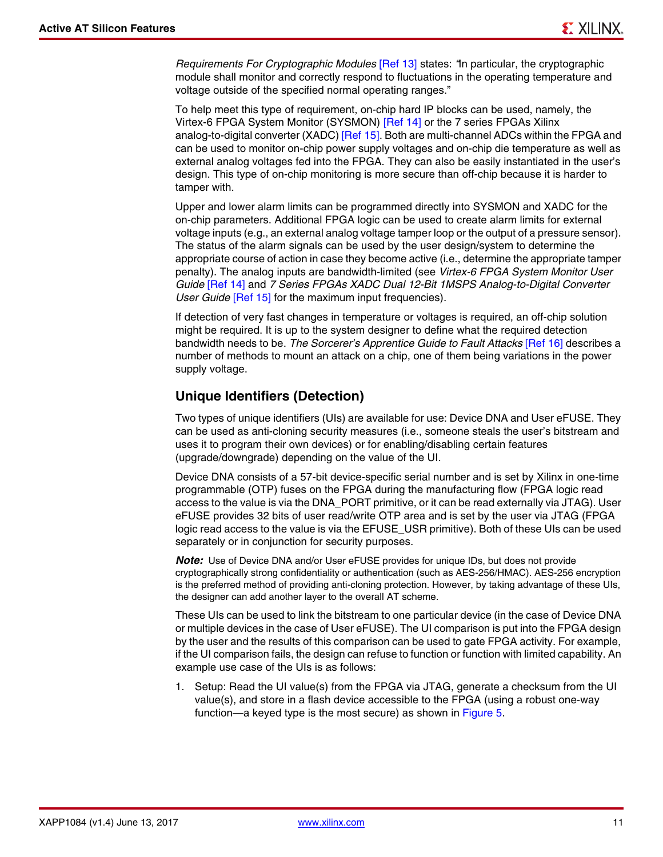*Requirements For Cryptographic Modules* [\[Ref 13\]](#page-18-1) states: *"*In particular, the cryptographic module shall monitor and correctly respond to fluctuations in the operating temperature and voltage outside of the specified normal operating ranges."

To help meet this type of requirement, on-chip hard IP blocks can be used, namely, the Virtex-6 FPGA System Monitor (SYSMON) [\[Ref 14\]](#page-18-2) or the 7 series FPGAs Xilinx analog-to-digital converter (XADC) [\[Ref 15\]](#page-18-3). Both are multi-channel ADCs within the FPGA and can be used to monitor on-chip power supply voltages and on-chip die temperature as well as external analog voltages fed into the FPGA. They can also be easily instantiated in the user's design. This type of on-chip monitoring is more secure than off-chip because it is harder to tamper with.

Upper and lower alarm limits can be programmed directly into SYSMON and XADC for the on-chip parameters. Additional FPGA logic can be used to create alarm limits for external voltage inputs (e.g., an external analog voltage tamper loop or the output of a pressure sensor). The status of the alarm signals can be used by the user design/system to determine the appropriate course of action in case they become active (i.e., determine the appropriate tamper penalty). The analog inputs are bandwidth-limited (see *Virtex-6 FPGA System Monitor User Guide* [\[Ref 14\]](#page-18-2) and *7 Series FPGAs XADC Dual 12-Bit 1MSPS Analog-to-Digital Converter User Guide* [\[Ref 15\]](#page-18-3) for the maximum input frequencies).

If detection of very fast changes in temperature or voltages is required, an off-chip solution might be required. It is up to the system designer to define what the required detection bandwidth needs to be. *The Sorcerer's Apprentice Guide to Fault Attacks* [\[Ref 16\]](#page-18-4) describes a number of methods to mount an attack on a chip, one of them being variations in the power supply voltage.

### **Unique Identifiers (Detection)**

Two types of unique identifiers (UIs) are available for use: Device DNA and User eFUSE. They can be used as anti-cloning security measures (i.e., someone steals the user's bitstream and uses it to program their own devices) or for enabling/disabling certain features (upgrade/downgrade) depending on the value of the UI.

Device DNA consists of a 57-bit device-specific serial number and is set by Xilinx in one-time programmable (OTP) fuses on the FPGA during the manufacturing flow (FPGA logic read access to the value is via the DNA\_PORT primitive, or it can be read externally via JTAG). User eFUSE provides 32 bits of user read/write OTP area and is set by the user via JTAG (FPGA logic read access to the value is via the EFUSE\_USR primitive). Both of these UIs can be used separately or in conjunction for security purposes.

*Note:* Use of Device DNA and/or User eFUSE provides for unique IDs, but does not provide cryptographically strong confidentiality or authentication (such as AES-256/HMAC). AES-256 encryption is the preferred method of providing anti-cloning protection. However, by taking advantage of these UIs, the designer can add another layer to the overall AT scheme.

These UIs can be used to link the bitstream to one particular device (in the case of Device DNA or multiple devices in the case of User eFUSE). The UI comparison is put into the FPGA design by the user and the results of this comparison can be used to gate FPGA activity. For example, if the UI comparison fails, the design can refuse to function or function with limited capability. An example use case of the UIs is as follows:

1. Setup: Read the UI value(s) from the FPGA via JTAG, generate a checksum from the UI value(s), and store in a flash device accessible to the FPGA (using a robust one-way function—a keyed type is the most secure) as shown in [Figure 5.](#page-11-0)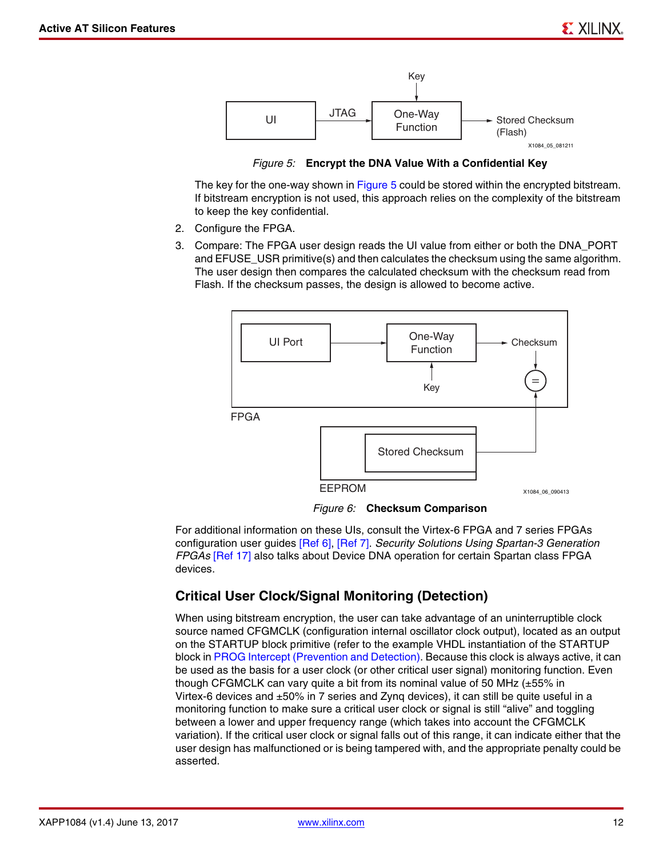<span id="page-11-0"></span>

*Figure 5:* **Encrypt the DNA Value With a Confidential Key**

The key for the one-way shown in [Figure 5](#page-11-0) could be stored within the encrypted bitstream. If bitstream encryption is not used, this approach relies on the complexity of the bitstream to keep the key confidential.

- 2. Configure the FPGA.
- 3. Compare: The FPGA user design reads the UI value from either or both the DNA\_PORT and EFUSE USR primitive(s) and then calculates the checksum using the same algorithm. The user design then compares the calculated checksum with the checksum read from Flash. If the checksum passes, the design is allowed to become active.

<span id="page-11-2"></span>

*Figure 6:* **Checksum Comparison**

For additional information on these UIs, consult the Virtex-6 FPGA and 7 series FPGAs configuration user guides [\[Ref 6\],](#page-17-4) [\[Ref 7\].](#page-17-5) *Security Solutions Using Spartan-3 Generation FPGAs* [\[Ref 17\]](#page-18-5) also talks about Device DNA operation for certain Spartan class FPGA devices.

#### <span id="page-11-1"></span>**Critical User Clock/Signal Monitoring (Detection)**

When using bitstream encryption, the user can take advantage of an uninterruptible clock source named CFGMCLK (configuration internal oscillator clock output), located as an output on the STARTUP block primitive (refer to the example VHDL instantiation of the STARTUP block in [PROG Intercept \(Prevention and Detection\)](#page-12-0). Because this clock is always active, it can be used as the basis for a user clock (or other critical user signal) monitoring function. Even though CFGMCLK can vary quite a bit from its nominal value of 50 MHz  $(\pm 55\%$  in Virtex-6 devices and ±50% in 7 series and Zynq devices), it can still be quite useful in a monitoring function to make sure a critical user clock or signal is still "alive" and toggling between a lower and upper frequency range (which takes into account the CFGMCLK variation). If the critical user clock or signal falls out of this range, it can indicate either that the user design has malfunctioned or is being tampered with, and the appropriate penalty could be asserted.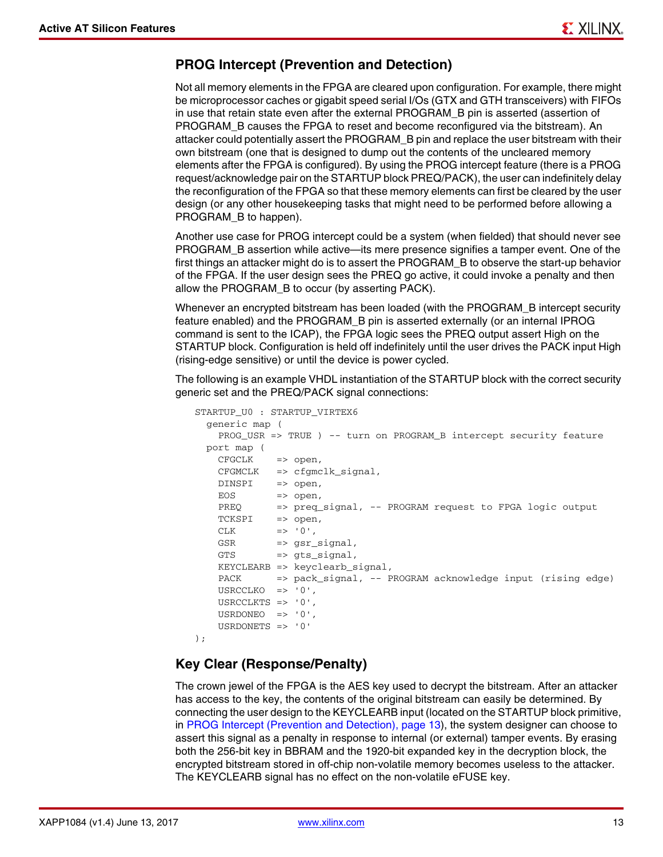#### <span id="page-12-0"></span>**PROG Intercept (Prevention and Detection)**

Not all memory elements in the FPGA are cleared upon configuration. For example, there might be microprocessor caches or gigabit speed serial I/Os (GTX and GTH transceivers) with FIFOs in use that retain state even after the external PROGRAM\_B pin is asserted (assertion of PROGRAM\_B causes the FPGA to reset and become reconfigured via the bitstream). An attacker could potentially assert the PROGRAM\_B pin and replace the user bitstream with their own bitstream (one that is designed to dump out the contents of the uncleared memory elements after the FPGA is configured). By using the PROG intercept feature (there is a PROG request/acknowledge pair on the STARTUP block PREQ/PACK), the user can indefinitely delay the reconfiguration of the FPGA so that these memory elements can first be cleared by the user design (or any other housekeeping tasks that might need to be performed before allowing a PROGRAM\_B to happen).

Another use case for PROG intercept could be a system (when fielded) that should never see PROGRAM\_B assertion while active—its mere presence signifies a tamper event. One of the first things an attacker might do is to assert the PROGRAM\_B to observe the start-up behavior of the FPGA. If the user design sees the PREQ go active, it could invoke a penalty and then allow the PROGRAM\_B to occur (by asserting PACK).

Whenever an encrypted bitstream has been loaded (with the PROGRAM\_B intercept security feature enabled) and the PROGRAM\_B pin is asserted externally (or an internal IPROG command is sent to the ICAP), the FPGA logic sees the PREQ output assert High on the STARTUP block. Configuration is held off indefinitely until the user drives the PACK input High (rising-edge sensitive) or until the device is power cycled.

The following is an example VHDL instantiation of the STARTUP block with the correct security generic set and the PREQ/PACK signal connections:

```
STARTUP_U0 : STARTUP_VIRTEX6
   generic map (
    PROG_USR => TRUE ) -- turn on PROGRAM_B intercept security feature
   port map (
    CFGCLK => open,
    CFGMCLK => cfgmclk_signal,
    DINSPI => open,
    EOS => open,
     PREQ => preq_signal, -- PROGRAM request to FPGA logic output
     TCKSPI => open,
    CLK \qquad \qquad \Rightarrow \qquad 0 \qquad ,GSR => gsr_signal,
     GTS => gts_signal,
    KEYCLEARB => keyclearb_signal,
     PACK => pack_signal, -- PROGRAM acknowledge input (rising edge)
     USRCCLKO => '0',
     USRCCLKTS => '0',
    USRDONEO => '0',
     USRDONETS => '0'
);
```
#### **Key Clear (Response/Penalty)**

The crown jewel of the FPGA is the AES key used to decrypt the bitstream. After an attacker has access to the key, the contents of the original bitstream can easily be determined. By connecting the user design to the KEYCLEARB input (located on the STARTUP block primitive, in [PROG Intercept \(Prevention and Detection\), page 13\)](#page-12-0), the system designer can choose to assert this signal as a penalty in response to internal (or external) tamper events. By erasing both the 256-bit key in BBRAM and the 1920-bit expanded key in the decryption block, the encrypted bitstream stored in off-chip non-volatile memory becomes useless to the attacker. The KEYCLEARB signal has no effect on the non-volatile eFUSE key.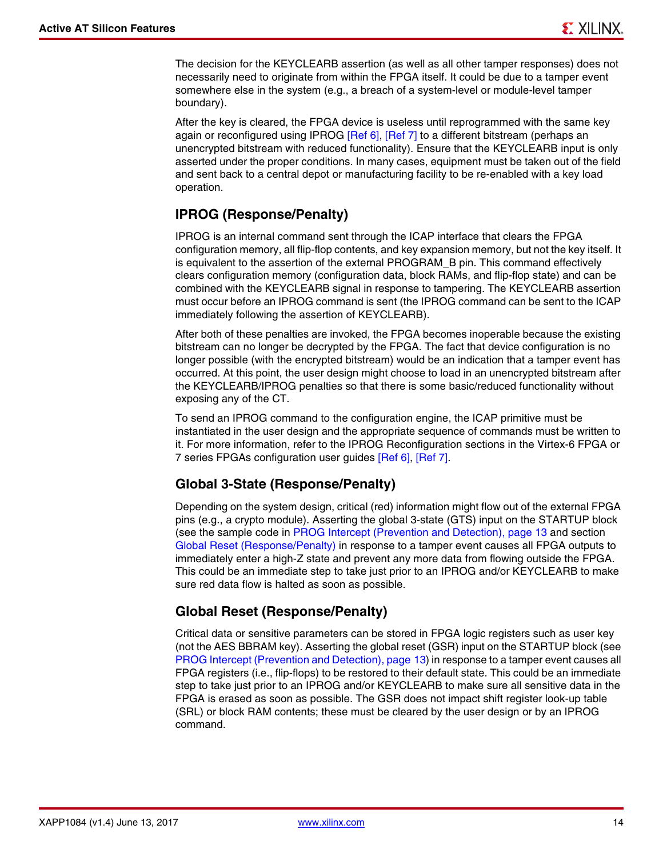The decision for the KEYCLEARB assertion (as well as all other tamper responses) does not necessarily need to originate from within the FPGA itself. It could be due to a tamper event somewhere else in the system (e.g., a breach of a system-level or module-level tamper boundary).

After the key is cleared, the FPGA device is useless until reprogrammed with the same key again or reconfigured using IPROG [\[Ref 6\]](#page-17-4), [\[Ref 7\]](#page-17-5) to a different bitstream (perhaps an unencrypted bitstream with reduced functionality). Ensure that the KEYCLEARB input is only asserted under the proper conditions. In many cases, equipment must be taken out of the field and sent back to a central depot or manufacturing facility to be re-enabled with a key load operation.

## <span id="page-13-2"></span>**IPROG (Response/Penalty)**

IPROG is an internal command sent through the ICAP interface that clears the FPGA configuration memory, all flip-flop contents, and key expansion memory, but not the key itself. It is equivalent to the assertion of the external PROGRAM\_B pin. This command effectively clears configuration memory (configuration data, block RAMs, and flip-flop state) and can be combined with the KEYCLEARB signal in response to tampering. The KEYCLEARB assertion must occur before an IPROG command is sent (the IPROG command can be sent to the ICAP immediately following the assertion of KEYCLEARB).

After both of these penalties are invoked, the FPGA becomes inoperable because the existing bitstream can no longer be decrypted by the FPGA. The fact that device configuration is no longer possible (with the encrypted bitstream) would be an indication that a tamper event has occurred. At this point, the user design might choose to load in an unencrypted bitstream after the KEYCLEARB/IPROG penalties so that there is some basic/reduced functionality without exposing any of the CT.

To send an IPROG command to the configuration engine, the ICAP primitive must be instantiated in the user design and the appropriate sequence of commands must be written to it. For more information, refer to the IPROG Reconfiguration sections in the Virtex-6 FPGA or 7 series FPGAs configuration user guides [\[Ref 6\],](#page-17-4) [\[Ref 7\].](#page-17-5)

## <span id="page-13-1"></span>**Global 3-State (Response/Penalty)**

Depending on the system design, critical (red) information might flow out of the external FPGA pins (e.g., a crypto module). Asserting the global 3-state (GTS) input on the STARTUP block (see the sample code in [PROG Intercept \(Prevention and Detection\), page 13](#page-12-0) and section [Global Reset \(Response/Penalty\)](#page-13-0) in response to a tamper event causes all FPGA outputs to immediately enter a high-Z state and prevent any more data from flowing outside the FPGA. This could be an immediate step to take just prior to an IPROG and/or KEYCLEARB to make sure red data flow is halted as soon as possible.

# <span id="page-13-0"></span>**Global Reset (Response/Penalty)**

Critical data or sensitive parameters can be stored in FPGA logic registers such as user key (not the AES BBRAM key). Asserting the global reset (GSR) input on the STARTUP block (see [PROG Intercept \(Prevention and Detection\), page 13](#page-12-0)) in response to a tamper event causes all FPGA registers (i.e., flip-flops) to be restored to their default state. This could be an immediate step to take just prior to an IPROG and/or KEYCLEARB to make sure all sensitive data in the FPGA is erased as soon as possible. The GSR does not impact shift register look-up table (SRL) or block RAM contents; these must be cleared by the user design or by an IPROG command.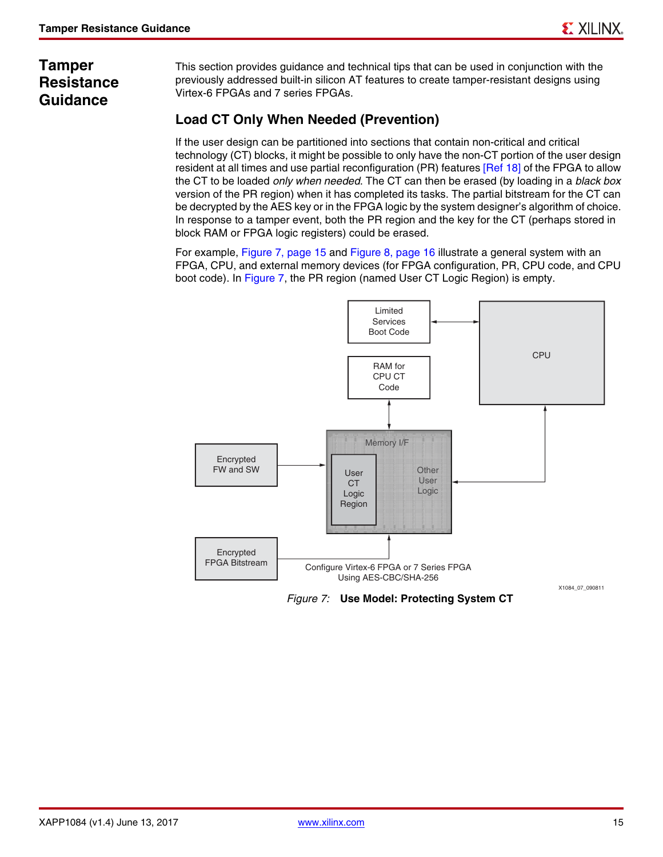# **Tamper Resistance Guidance**

This section provides guidance and technical tips that can be used in conjunction with the previously addressed built-in silicon AT features to create tamper-resistant designs using Virtex-6 FPGAs and 7 series FPGAs.

# **Load CT Only When Needed (Prevention)**

If the user design can be partitioned into sections that contain non-critical and critical technology (CT) blocks, it might be possible to only have the non-CT portion of the user design resident at all times and use partial reconfiguration (PR) features [\[Ref 18\]](#page-18-6) of the FPGA to allow the CT to be loaded *only when needed*. The CT can then be erased (by loading in a *black box* version of the PR region) when it has completed its tasks. The partial bitstream for the CT can be decrypted by the AES key or in the FPGA logic by the system designer's algorithm of choice. In response to a tamper event, both the PR region and the key for the CT (perhaps stored in block RAM or FPGA logic registers) could be erased.

For example, [Figure 7, page 15](#page-14-0) and [Figure 8, page 16](#page-15-0) illustrate a general system with an FPGA, CPU, and external memory devices (for FPGA configuration, PR, CPU code, and CPU boot code). In [Figure 7,](#page-14-0) the PR region (named User CT Logic Region) is empty.

<span id="page-14-0"></span>

*Figure 7:* **Use Model: Protecting System CT**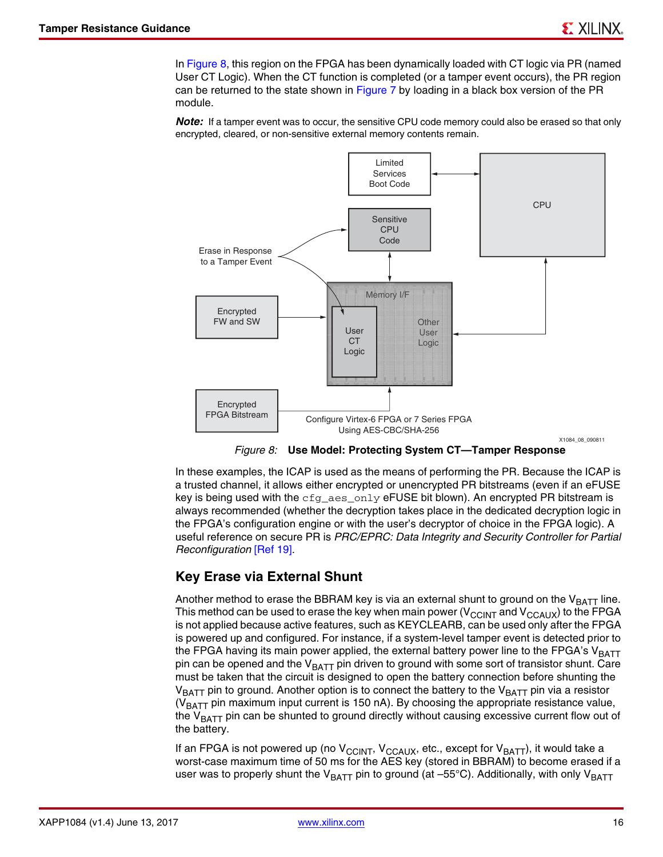In [Figure 8](#page-15-0), this region on the FPGA has been dynamically loaded with CT logic via PR (named User CT Logic). When the CT function is completed (or a tamper event occurs), the PR region can be returned to the state shown in [Figure 7](#page-14-0) by loading in a black box version of the PR module.

*Note:* If a tamper event was to occur, the sensitive CPU code memory could also be erased so that only encrypted, cleared, or non-sensitive external memory contents remain.

<span id="page-15-0"></span>

*Figure 8:* **Use Model: Protecting System CT—Tamper Response**

In these examples, the ICAP is used as the means of performing the PR. Because the ICAP is a trusted channel, it allows either encrypted or unencrypted PR bitstreams (even if an eFUSE key is being used with the  $cfg\_aes\_only$  eFUSE bit blown). An encrypted PR bitstream is always recommended (whether the decryption takes place in the dedicated decryption logic in the FPGA's configuration engine or with the user's decryptor of choice in the FPGA logic). A useful reference on secure PR is *PRC/EPRC: Data Integrity and Security Controller for Partial Reconfiguration* [\[Ref 19\].](#page-18-7)

## <span id="page-15-1"></span>**Key Erase via External Shunt**

Another method to erase the BBRAM key is via an external shunt to ground on the  $V_{BAT}$  line. This method can be used to erase the key when main power ( $V_{\text{CCINT}}$  and  $V_{\text{CCAUX}}$ ) to the FPGA is not applied because active features, such as KEYCLEARB, can be used only after the FPGA is powered up and configured. For instance, if a system-level tamper event is detected prior to the FPGA having its main power applied, the external battery power line to the FPGA's  $V_{BATT}$ pin can be opened and the  $V_{BATT}$  pin driven to ground with some sort of transistor shunt. Care must be taken that the circuit is designed to open the battery connection before shunting the  $V_{BAT}$  pin to ground. Another option is to connect the battery to the  $V_{BAT}$  pin via a resistor ( $V_{BAT}$  pin maximum input current is 150 nA). By choosing the appropriate resistance value, the  $V_{\text{BATT}}$  pin can be shunted to ground directly without causing excessive current flow out of the battery.

If an FPGA is not powered up (no  $V_{CClNT}$ ,  $V_{CCAUX}$ , etc., except for  $V_{BATT}$ ), it would take a worst-case maximum time of 50 ms for the AES key (stored in BBRAM) to become erased if a user was to properly shunt the V<sub>BATT</sub> pin to ground (at  $-55^{\circ}$ C). Additionally, with only V<sub>BATT</sub>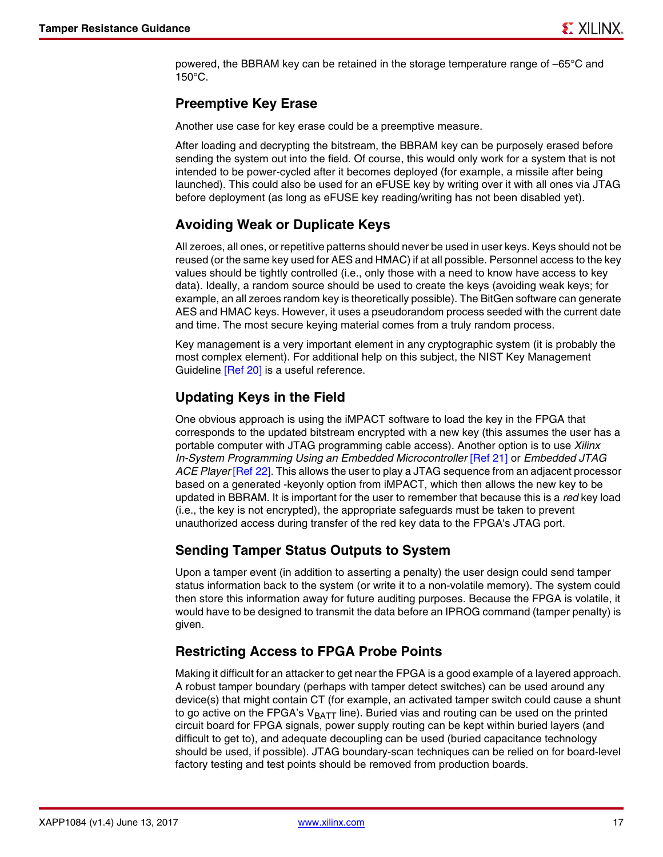powered, the BBRAM key can be retained in the storage temperature range of –65°C and 150°C.

#### **Preemptive Key Erase**

Another use case for key erase could be a preemptive measure.

After loading and decrypting the bitstream, the BBRAM key can be purposely erased before sending the system out into the field. Of course, this would only work for a system that is not intended to be power-cycled after it becomes deployed (for example, a missile after being launched). This could also be used for an eFUSE key by writing over it with all ones via JTAG before deployment (as long as eFUSE key reading/writing has not been disabled yet).

### **Avoiding Weak or Duplicate Keys**

All zeroes, all ones, or repetitive patterns should never be used in user keys. Keys should not be reused (or the same key used for AES and HMAC) if at all possible. Personnel access to the key values should be tightly controlled (i.e., only those with a need to know have access to key data). Ideally, a random source should be used to create the keys (avoiding weak keys; for example, an all zeroes random key is theoretically possible). The BitGen software can generate AES and HMAC keys. However, it uses a pseudorandom process seeded with the current date and time. The most secure keying material comes from a truly random process.

Key management is a very important element in any cryptographic system (it is probably the most complex element). For additional help on this subject, the NIST Key Management Guideline [\[Ref 20\]](#page-18-8) is a useful reference.

## <span id="page-16-0"></span>**Updating Keys in the Field**

One obvious approach is using the iMPACT software to load the key in the FPGA that corresponds to the updated bitstream encrypted with a new key (this assumes the user has a portable computer with JTAG programming cable access). Another option is to use *Xilinx In-System Programming Using an Embedded Microcontroller* [\[Ref 21\]](#page-18-9) or *Embedded JTAG ACE Player* [\[Ref 22\]](#page-18-10). This allows the user to play a JTAG sequence from an adjacent processor based on a generated -keyonly option from iMPACT, which then allows the new key to be updated in BBRAM. It is important for the user to remember that because this is a *red* key load (i.e., the key is not encrypted), the appropriate safeguards must be taken to prevent unauthorized access during transfer of the red key data to the FPGA's JTAG port.

#### **Sending Tamper Status Outputs to System**

Upon a tamper event (in addition to asserting a penalty) the user design could send tamper status information back to the system (or write it to a non-volatile memory). The system could then store this information away for future auditing purposes. Because the FPGA is volatile, it would have to be designed to transmit the data before an IPROG command (tamper penalty) is given.

#### **Restricting Access to FPGA Probe Points**

Making it difficult for an attacker to get near the FPGA is a good example of a layered approach. A robust tamper boundary (perhaps with tamper detect switches) can be used around any device(s) that might contain CT (for example, an activated tamper switch could cause a shunt to go active on the FPGA's  $V_{BAT}$  line). Buried vias and routing can be used on the printed circuit board for FPGA signals, power supply routing can be kept within buried layers (and difficult to get to), and adequate decoupling can be used (buried capacitance technology should be used, if possible). JTAG boundary-scan techniques can be relied on for board-level factory testing and test points should be removed from production boards.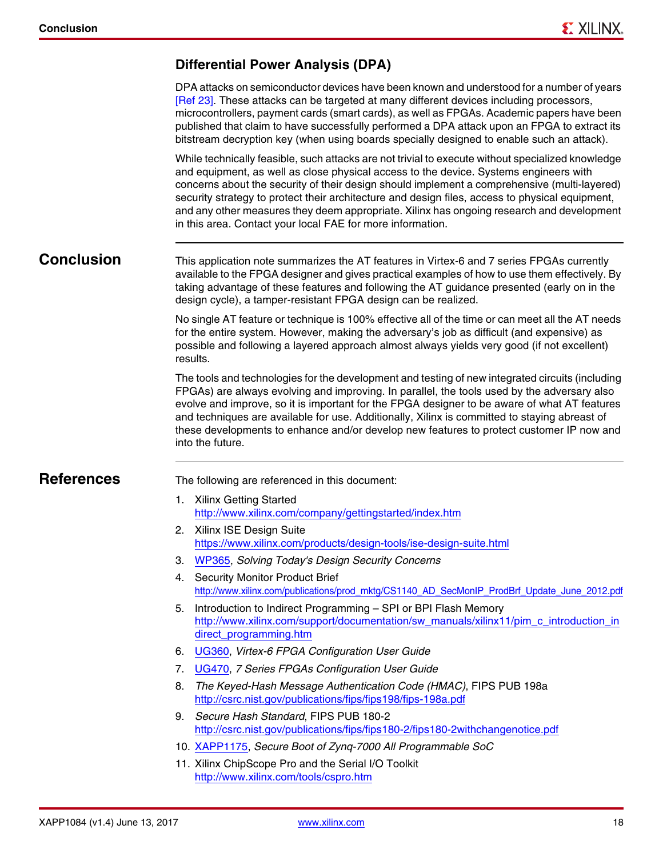#### <span id="page-17-11"></span>**Differential Power Analysis (DPA)**

DPA attacks on semiconductor devices have been known and understood for a number of years [\[Ref 23\].](#page-18-11) These attacks can be targeted at many different devices including processors, microcontrollers, payment cards (smart cards), as well as FPGAs. Academic papers have been published that claim to have successfully performed a DPA attack upon an FPGA to extract its bitstream decryption key (when using boards specially designed to enable such an attack).

While technically feasible, such attacks are not trivial to execute without specialized knowledge and equipment, as well as close physical access to the device. Systems engineers with concerns about the security of their design should implement a comprehensive (multi-layered) security strategy to protect their architecture and design files, access to physical equipment, and any other measures they deem appropriate. Xilinx has ongoing research and development in this area. Contact your local FAE for more information.

**Conclusion** This application note summarizes the AT features in Virtex-6 and 7 series FPGAs currently available to the FPGA designer and gives practical examples of how to use them effectively. By taking advantage of these features and following the AT guidance presented (early on in the design cycle), a tamper-resistant FPGA design can be realized.

> No single AT feature or technique is 100% effective all of the time or can meet all the AT needs for the entire system. However, making the adversary's job as difficult (and expensive) as possible and following a layered approach almost always yields very good (if not excellent) results.

> The tools and technologies for the development and testing of new integrated circuits (including FPGAs) are always evolving and improving. In parallel, the tools used by the adversary also evolve and improve, so it is important for the FPGA designer to be aware of what AT features and techniques are available for use. Additionally, Xilinx is committed to staying abreast of these developments to enhance and/or develop new features to protect customer IP now and into the future.

<span id="page-17-12"></span>**References** The following are referenced in this document:

- <span id="page-17-0"></span>1. Xilinx Getting Started <http://www.xilinx.com/company/gettingstarted/index.htm>
- <span id="page-17-1"></span>2. Xilinx ISE Design Suite <https://www.xilinx.com/products/design-tools/ise-design-suite.html>
- <span id="page-17-2"></span>3. [WP365,](http://www.xilinx.com/support/documentation/white_papers/wp365_Solving_Security_Concerns.pdf) *Solving Today's Design Security Concerns*
- <span id="page-17-3"></span>4. Security Monitor Product Brief [http://www.xilinx.com/publications/prod\\_mktg/CS1140\\_AD\\_SecMonIP\\_ProdBrf\\_Update\\_June\\_2012.pdf](http://www.xilinx.com/publications/prod_mktg/CS1140_AD_SecMonIP_ProdBrf_Update_June_2012.pdf)
- <span id="page-17-6"></span>5. Introduction to Indirect Programming – SPI or BPI Flash Memory [http://www.xilinx.com/support/documentation/sw\\_manuals/xilinx11/pim\\_c\\_introduction\\_in](http://www.xilinx.com/support/documentation/sw_manuals/xilinx11/pim_c_introduction_indirect_programming.htm) direct\_programming.htm
- <span id="page-17-4"></span>6. [UG360,](http://www.xilinx.com/support/documentation/user_guides/ug360.pdf) *Virtex-6 FPGA Configuration User Guide*
- <span id="page-17-5"></span>7. [UG470,](http://www.xilinx.com/support/documentation/user_guides/ug470_7Series_Config.pdf) *7 Series FPGAs Configuration User Guide*
- <span id="page-17-7"></span>8. *The Keyed-Hash Message Authentication Code (HMAC)*, FIPS PUB 198a <http://csrc.nist.gov/publications/fips/fips198/fips-198a.pdf>
- <span id="page-17-8"></span>9. *Secure Hash Standard*, FIPS PUB 180-2 <http://csrc.nist.gov/publications/fips/fips180-2/fips180-2withchangenotice.pdf>
- <span id="page-17-9"></span>10. [XAPP1175,](http://www.xilinx.com/support/documentation/application_notes/xapp1175_zynq_secure_boot.pdf) *Secure Boot of Zynq-7000 All Programmable SoC*
- <span id="page-17-10"></span>11. Xilinx ChipScope Pro and the Serial I/O Toolkit <http://www.xilinx.com/tools/cspro.htm>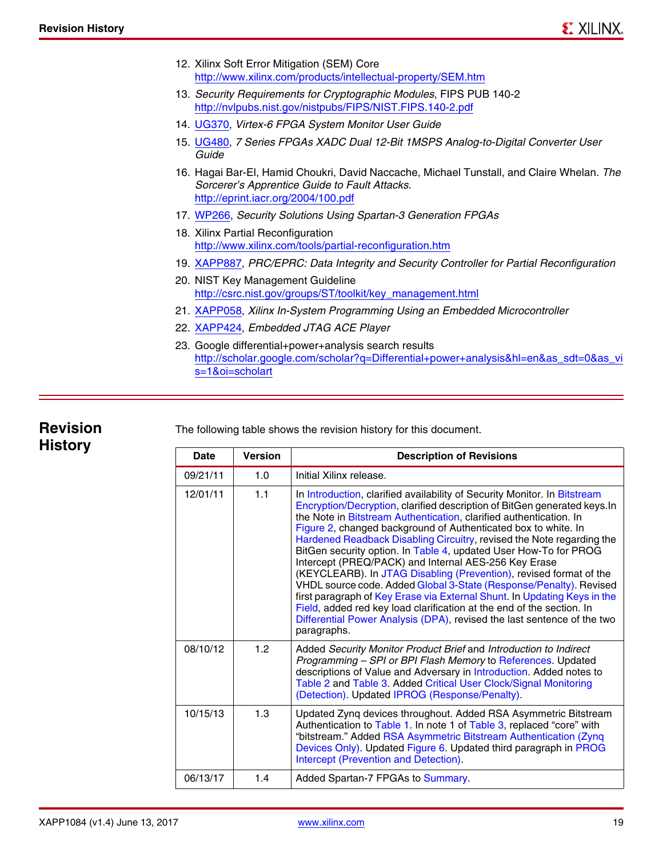- <span id="page-18-0"></span>12. Xilinx Soft Error Mitigation (SEM) Core <http://www.xilinx.com/products/intellectual-property/SEM.htm>
- <span id="page-18-1"></span>13. *Security Requirements for Cryptographic Modules*, FIPS PUB 140-2 <http://nvlpubs.nist.gov/nistpubs/FIPS/NIST.FIPS.140-2.pdf>
- <span id="page-18-2"></span>14. [UG370,](http://www.xilinx.com/support/documentation/user_guides/ug370.pdf) *Virtex-6 FPGA System Monitor User Guide*
- <span id="page-18-3"></span>15. [UG480,](http://www.xilinx.com/support/documentation/user_guides/ug480_7Series_XADC.pdf) *7 Series FPGAs XADC Dual 12-Bit 1MSPS Analog-to-Digital Converter User Guide*
- <span id="page-18-4"></span>16. Hagai Bar-El, Hamid Choukri, David Naccache, Michael Tunstall, and Claire Whelan. *The Sorcerer's Apprentice Guide to Fault Attacks.* <http://eprint.iacr.org/2004/100.pdf>
- <span id="page-18-5"></span>17. [WP266,](http://www.xilinx.com/support/documentation/white_papers/wp266.pdf) *Security Solutions Using Spartan-3 Generation FPGAs*
- <span id="page-18-6"></span>18. Xilinx Partial Reconfiguration <http://www.xilinx.com/tools/partial-reconfiguration.htm>
- <span id="page-18-7"></span>19. [XAPP887](http://www.xilinx.com/support/documentation/application_notes/xapp887_PRC_EPRC.pdf), *PRC/EPRC: Data Integrity and Security Controller for Partial Reconfiguration*
- <span id="page-18-8"></span>20. NIST Key Management Guideline [http://csrc.nist.gov/groups/ST/toolkit/key\\_management.html](http://csrc.nist.gov/groups/ST/toolkit/key_management.html)
- <span id="page-18-9"></span>21. [XAPP058](http://www.xilinx.com/support/documentation/application_notes/xapp058.pdf), *Xilinx In-System Programming Using an Embedded Microcontroller*
- <span id="page-18-10"></span>22. [XAPP424](http://www.xilinx.com/support/documentation/application_notes/xapp424.pdf), *Embedded JTAG ACE Player*
- <span id="page-18-11"></span>23. Google differential+power+analysis search results [http://scholar.google.com/scholar?q=Differential+power+analysis&hl=en&as\\_sdt=0&as\\_vi](http://scholar.google.com/scholar?q=Differential+power+analysis&hl=en&as_sdt=0&as_vis=1&oi=scholart) s=1&oi=scholart

### **Revision History**

The following table shows the revision history for this document.

| Date     | <b>Version</b> | <b>Description of Revisions</b>                                                                                                                                                                                                                                                                                                                                                                                                                                                                                                                                                                                                                                                                                                                                                                                                                                                                |
|----------|----------------|------------------------------------------------------------------------------------------------------------------------------------------------------------------------------------------------------------------------------------------------------------------------------------------------------------------------------------------------------------------------------------------------------------------------------------------------------------------------------------------------------------------------------------------------------------------------------------------------------------------------------------------------------------------------------------------------------------------------------------------------------------------------------------------------------------------------------------------------------------------------------------------------|
| 09/21/11 | 1.0            | Initial Xilinx release.                                                                                                                                                                                                                                                                                                                                                                                                                                                                                                                                                                                                                                                                                                                                                                                                                                                                        |
| 12/01/11 | 1.1            | In Introduction, clarified availability of Security Monitor. In Bitstream<br>Encryption/Decryption, clarified description of BitGen generated keys. In<br>the Note in Bitstream Authentication, clarified authentication. In<br>Figure 2, changed background of Authenticated box to white. In<br>Hardened Readback Disabling Circuitry, revised the Note regarding the<br>BitGen security option. In Table 4, updated User How-To for PROG<br>Intercept (PREQ/PACK) and Internal AES-256 Key Erase<br>(KEYCLEARB). In JTAG Disabling (Prevention), revised format of the<br>VHDL source code. Added Global 3-State (Response/Penalty). Revised<br>first paragraph of Key Erase via External Shunt. In Updating Keys in the<br>Field, added red key load clarification at the end of the section. In<br>Differential Power Analysis (DPA), revised the last sentence of the two<br>paragraphs. |
| 08/10/12 | 1.2            | Added Security Monitor Product Brief and Introduction to Indirect<br>Programming - SPI or BPI Flash Memory to References. Updated<br>descriptions of Value and Adversary in Introduction. Added notes to<br>Table 2 and Table 3. Added Critical User Clock/Signal Monitoring<br>(Detection). Updated IPROG (Response/Penalty).                                                                                                                                                                                                                                                                                                                                                                                                                                                                                                                                                                 |
| 10/15/13 | 1.3            | Updated Zynq devices throughout. Added RSA Asymmetric Bitstream<br>Authentication to Table 1. In note 1 of Table 3, replaced "core" with<br>"bitstream." Added RSA Asymmetric Bitstream Authentication (Zynq<br>Devices Only). Updated Figure 6. Updated third paragraph in PROG<br>Intercept (Prevention and Detection).                                                                                                                                                                                                                                                                                                                                                                                                                                                                                                                                                                      |
| 06/13/17 | 1.4            | Added Spartan-7 FPGAs to Summary.                                                                                                                                                                                                                                                                                                                                                                                                                                                                                                                                                                                                                                                                                                                                                                                                                                                              |